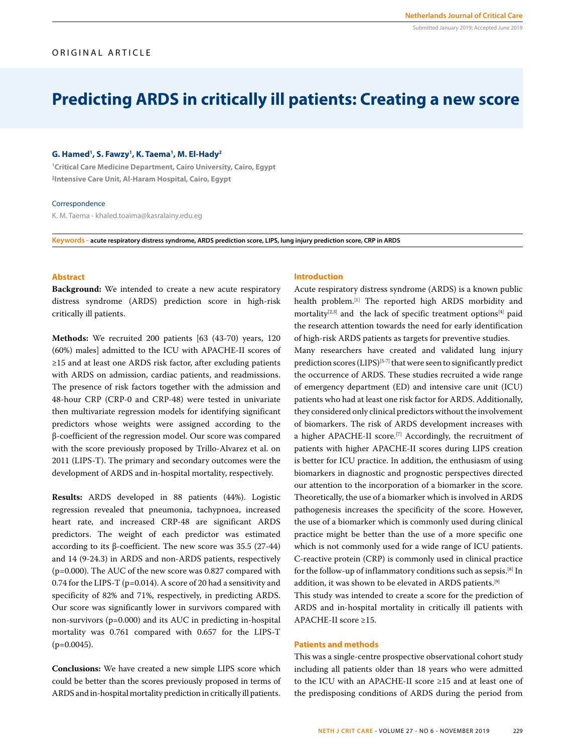#### Submitted January 2019; Accepted June 2019

# ORIGINAL ARTICLE

# **Predicting ARDS in critically ill patients: Creating a new score**

### **G. Hamed1 , S. Fawzy1 , K. Taema1 , M. El-Hady2**

**1 Critical Care Medicine Department, Cairo University, Cairo, Egypt 2 Intensive Care Unit, Al-Haram Hospital, Cairo, Egypt**

#### **Correspondence**

K. M. Taema - khaled.toaima@kasralainy.edu.eg

**Keywords - acute respiratory distress syndrome, ARDS prediction score, LIPS, lung injury prediction score, CRP in ARDS**

## **Abstract**

**Background:** We intended to create a new acute respiratory distress syndrome (ARDS) prediction score in high-risk critically ill patients.

**Methods:** We recruited 200 patients [63 (43-70) years, 120 (60%) males] admitted to the ICU with APACHE-II scores of ≥15 and at least one ARDS risk factor, after excluding patients with ARDS on admission, cardiac patients, and readmissions. The presence of risk factors together with the admission and 48-hour CRP (CRP-0 and CRP-48) were tested in univariate then multivariate regression models for identifying significant predictors whose weights were assigned according to the β-coefficient of the regression model. Our score was compared with the score previously proposed by Trillo-Alvarez et al. on 2011 (LIPS-T). The primary and secondary outcomes were the development of ARDS and in-hospital mortality, respectively.

**Results:** ARDS developed in 88 patients (44%). Logistic regression revealed that pneumonia, tachypnoea, increased heart rate, and increased CRP-48 are significant ARDS predictors. The weight of each predictor was estimated according to its β-coefficient. The new score was 35.5 (27-44) and 14 (9-24.3) in ARDS and non-ARDS patients, respectively (p=0.000). The AUC of the new score was 0.827 compared with 0.74 for the LIPS-T (p=0.014). A score of 20 had a sensitivity and specificity of 82% and 71%, respectively, in predicting ARDS. Our score was significantly lower in survivors compared with non-survivors (p=0.000) and its AUC in predicting in-hospital mortality was 0.761 compared with 0.657 for the LIPS-T  $(p=0.0045)$ .

**Conclusions:** We have created a new simple LIPS score which could be better than the scores previously proposed in terms of ARDS and in-hospital mortality prediction in critically ill patients.

#### **Introduction**

Acute respiratory distress syndrome (ARDS) is a known public health problem.[1] The reported high ARDS morbidity and mortality<sup>[2,3]</sup> and the lack of specific treatment options<sup>[4]</sup> paid the research attention towards the need for early identification of high-risk ARDS patients as targets for preventive studies.

Many researchers have created and validated lung injury prediction scores  $(LIPS)^{[5-7]}$  that were seen to significantly predict the occurrence of ARDS. These studies recruited a wide range of emergency department (ED) and intensive care unit (ICU) patients who had at least one risk factor for ARDS. Additionally, they considered only clinical predictors without the involvement of biomarkers. The risk of ARDS development increases with a higher APACHE-II score.<sup>[7]</sup> Accordingly, the recruitment of patients with higher APACHE-II scores during LIPS creation is better for ICU practice. In addition, the enthusiasm of using biomarkers in diagnostic and prognostic perspectives directed our attention to the incorporation of a biomarker in the score. Theoretically, the use of a biomarker which is involved in ARDS pathogenesis increases the specificity of the score. However, the use of a biomarker which is commonly used during clinical practice might be better than the use of a more specific one which is not commonly used for a wide range of ICU patients. C-reactive protein (CRP) is commonly used in clinical practice for the follow-up of inflammatory conditions such as sepsis.[8] In addition, it was shown to be elevated in ARDS patients.[9]

This study was intended to create a score for the prediction of ARDS and in-hospital mortality in critically ill patients with APACHE-II score ≥15.

#### **Patients and methods**

This was a single-centre prospective observational cohort study including all patients older than 18 years who were admitted to the ICU with an APACHE-II score ≥15 and at least one of the predisposing conditions of ARDS during the period from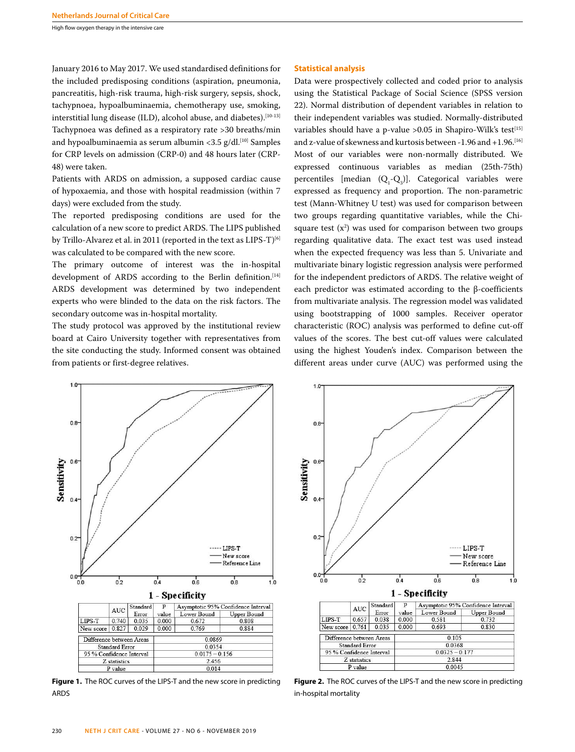High flow oxygen therapy in the intensive care

January 2016 to May 2017. We used standardised definitions for the included predisposing conditions (aspiration, pneumonia, pancreatitis, high-risk trauma, high-risk surgery, sepsis, shock, tachypnoea, hypoalbuminaemia, chemotherapy use, smoking, interstitial lung disease (ILD), alcohol abuse, and diabetes).<sup>[10-13]</sup> Tachypnoea was defined as a respiratory rate >30 breaths/min and hypoalbuminaemia as serum albumin <3.5 g/dl.<sup>[10]</sup> Samples for CRP levels on admission (CRP-0) and 48 hours later (CRP-48) were taken.

Patients with ARDS on admission, a supposed cardiac cause of hypoxaemia, and those with hospital readmission (within 7 days) were excluded from the study.

The reported predisposing conditions are used for the calculation of a new score to predict ARDS. The LIPS published by Trillo-Alvarez et al. in 2011 (reported in the text as LIPS-T)<sup>[6]</sup> was calculated to be compared with the new score.

The primary outcome of interest was the in-hospital development of ARDS according to the Berlin definition.<sup>[14]</sup> ARDS development was determined by two independent experts who were blinded to the data on the risk factors. The secondary outcome was in-hospital mortality.

The study protocol was approved by the institutional review board at Cairo University together with representatives from the site conducting the study. Informed consent was obtained from patients or first-degree relatives.

#### **Statistical analysis**

Data were prospectively collected and coded prior to analysis using the Statistical Package of Social Science (SPSS version 22). Normal distribution of dependent variables in relation to their independent variables was studied. Normally-distributed variables should have a p-value  $>0.05$  in Shapiro-Wilk's test<sup>[15]</sup> and z-value of skewness and kurtosis between -1.96 and +1.96.[16] Most of our variables were non-normally distributed. We expressed continuous variables as median (25th-75th) percentiles [median  $(Q_1 - Q_3)$ ]. Categorical variables were expressed as frequency and proportion. The non-parametric test (Mann-Whitney U test) was used for comparison between two groups regarding quantitative variables, while the Chisquare test  $(x^2)$  was used for comparison between two groups regarding qualitative data. The exact test was used instead when the expected frequency was less than 5. Univariate and multivariate binary logistic regression analysis were performed for the independent predictors of ARDS. The relative weight of each predictor was estimated according to the β-coefficients from multivariate analysis. The regression model was validated using bootstrapping of 1000 samples. Receiver operator characteristic (ROC) analysis was performed to define cut-off values of the scores. The best cut-off values were calculated using the highest Youden's index. Comparison between the different areas under curve (AUC) was performed using the



**Figure 1.** The ROC curves of the LIPS-T and the new score in predicting ARDS



**Figure 2.** The ROC curves of the LIPS-T and the new score in predicting in-hospital mortality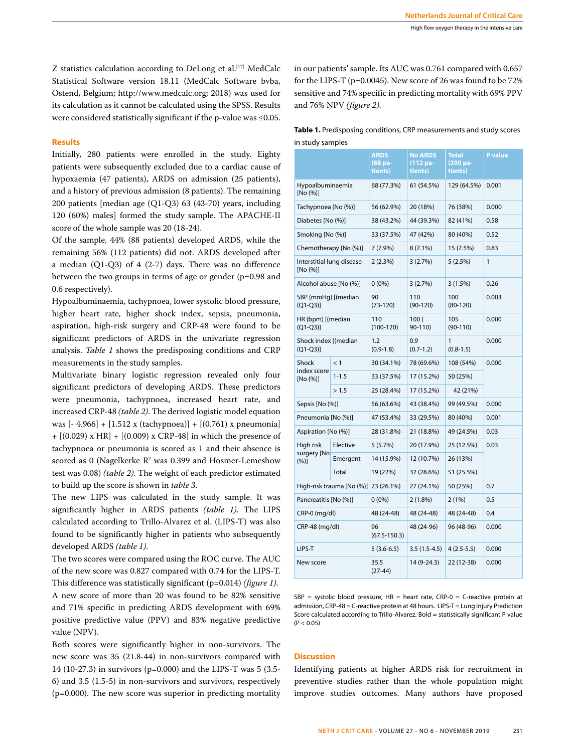Z statistics calculation according to DeLong et al.<sup>[17]</sup> MedCalc Statistical Software version 18.11 (MedCalc Software bvba, Ostend, Belgium; http://www.medcalc.org; 2018) was used for its calculation as it cannot be calculated using the SPSS. Results were considered statistically significant if the p-value was ≤0.05.

### **Results**

Initially, 280 patients were enrolled in the study. Eighty patients were subsequently excluded due to a cardiac cause of hypoxaemia (47 patients), ARDS on admission (25 patients), and a history of previous admission (8 patients). The remaining 200 patients [median age (Q1-Q3) 63 (43-70) years, including 120 (60%) males] formed the study sample. The APACHE-II score of the whole sample was 20 (18-24).

Of the sample, 44% (88 patients) developed ARDS, while the remaining 56% (112 patients) did not. ARDS developed after a median (Q1-Q3) of 4 (2-7) days. There was no difference between the two groups in terms of age or gender (p=0.98 and 0.6 respectively).

Hypoalbuminaemia, tachypnoea, lower systolic blood pressure, higher heart rate, higher shock index, sepsis, pneumonia, aspiration, high-risk surgery and CRP-48 were found to be significant predictors of ARDS in the univariate regression analysis. *Table 1* shows the predisposing conditions and CRP measurements in the study samples.

Multivariate binary logistic regression revealed only four significant predictors of developing ARDS. These predictors were pneumonia, tachypnoea, increased heart rate, and increased CRP-48 *(table 2)*. The derived logistic model equation was  $[-4.966] + [1.512 \times (tachypnoea)] + [(0.761) \times pneuronia]$  $+ [(0.029) \times HR] + [(0.009) \times CRP-48]$  in which the presence of tachypnoea or pneumonia is scored as 1 and their absence is scored as 0 (Nagelkerke  $\mathbb{R}^2$  was 0.399 and Hosmer-Lemeshow test was 0.08) *(table 2)*. The weight of each predictor estimated to build up the score is shown in *table 3*.

The new LIPS was calculated in the study sample. It was significantly higher in ARDS patients *(table 1)*. The LIPS calculated according to Trillo-Alvarez et al. (LIPS-T) was also found to be significantly higher in patients who subsequently developed ARDS *(table 1)*.

The two scores were compared using the ROC curve. The AUC of the new score was 0.827 compared with 0.74 for the LIPS-T. This difference was statistically significant (p=0.014) *(figure 1)*. A new score of more than 20 was found to be 82% sensitive and 71% specific in predicting ARDS development with 69% positive predictive value (PPV) and 83% negative predictive value (NPV).

Both scores were significantly higher in non-survivors. The new score was 35 (21.8-44) in non-survivors compared with 14 (10-27.3) in survivors (p=0.000) and the LIPS-T was 5 (3.5- 6) and 3.5 (1.5-5) in non-survivors and survivors, respectively (p=0.000). The new score was superior in predicting mortality in our patients' sample. Its AUC was 0.761 compared with 0.657 for the LIPS-T (p=0.0045). New score of 26 was found to be 72% sensitive and 74% specific in predicting mortality with 69% PPV and 76% NPV *(figure 2)*.

| Table 1. Predisposing conditions, CRP measurements and study scores |
|---------------------------------------------------------------------|
| in study samples                                                    |

|                                       |           | <b>ARDS</b><br>(88 pa-<br>tients) | <b>No ARDS</b><br>(112 pa-<br>tients) | <b>Total</b><br>(200 pa-<br>tients) | P value |  |
|---------------------------------------|-----------|-----------------------------------|---------------------------------------|-------------------------------------|---------|--|
| Hypoalbuminaemia<br>[No (%)]          |           | 68 (77.3%)                        | 61 (54.5%)                            | 129 (64.5%)                         | 0.001   |  |
| Tachypnoea [No (%)]                   |           | 56 (62.9%)                        | 20 (18%)                              | 76 (38%)                            | 0.000   |  |
| Diabetes [No (%)]                     |           | 38 (43.2%)                        | 44 (39.3%)                            | 82 (41%)                            | 0.58    |  |
| Smoking [No (%)]                      |           | 33 (37.5%)                        | 47 (42%)                              | 80 (40%)                            | 0.52    |  |
| Chemotherapy [No (%)]                 |           | 7(7.9%)                           | $8(7.1\%)$                            | 15 (7.5%)                           | 0.83    |  |
| Interstitial lung disease<br>[No (%)] |           | $2(2.3\%)$                        | 3(2.7%)                               | 5(2.5%)                             | 1       |  |
| Alcohol abuse [No (%)]                |           | $0(0\%)$                          | 3(2.7%)                               | 3(1.5%)                             | 0.26    |  |
| SBP (mmHg) [(median<br>$(Q1-Q3)$      |           | 90<br>$(73-120)$                  | 110<br>$(90-120)$                     | 100<br>$(80-120)$                   | 0.003   |  |
| HR (bpm) [(median<br>$(Q1-Q3)$        |           | 110<br>$(100-120)$                | 100(<br>90-110)                       | 105<br>$(90-110)$                   | 0.000   |  |
| Shock index [(median<br>$(Q1-Q3)$     |           | 1.2<br>$(0.9-1.8)$                | 0.9<br>$(0.7-1.2)$                    | 1<br>$(0.8-1.5)$                    | 0.000   |  |
| Shock                                 | < 1       | 30 (34.1%)                        | 78 (69.6%)                            | 108 (54%)                           | 0.000   |  |
| index score<br>[No (%)]               | $1 - 1.5$ | 33 (37.5%)                        | 17 (15.2%)                            | 50 (25%)                            |         |  |
|                                       | >1.5      | 25 (28.4%)                        | 17 (15.2%)                            | 42 (21%)                            |         |  |
| Sepsis [No (%)]                       |           | 56 (63.6%)                        | 43 (38.4%)                            | 99 (49.5%)                          | 0.000   |  |
| Pneumonia [No (%)]                    |           | 47 (53.4%)                        | 33 (29.5%)                            | 80 (40%)                            | 0.001   |  |
| Aspiration [No (%)]                   |           | 28 (31.8%)                        | 21 (18.8%)                            | 49 (24.5%)                          | 0.03    |  |
| High risk                             | Elective  | 5(5.7%)                           | 20 (17.9%)                            | 25 (12.5%)                          | 0.03    |  |
| surgery [No<br>(%)]                   | Emergent  | 14 (15.9%)                        | 12 (10.7%)                            | 26 (13%)                            |         |  |
|                                       | Total     | 19 (22%)                          | 32 (28.6%)                            | 51 (25.5%)                          |         |  |
| High-risk trauma [No (%)] 23 (26.1%)  |           |                                   | 27 (24.1%)                            | 50 (25%)                            | 0.7     |  |
| Pancreatitis [No (%)]                 |           | $0(0\%)$                          | $2(1.8\%)$                            | 2(1%)                               | 0.5     |  |
| CRP-0 (mg/dl)                         |           | 48 (24-48)                        | 48 (24-48)                            | 48 (24-48)                          | 0.4     |  |
| CRP-48 (mg/dl)                        |           | 96<br>$(67.5 - 150.3)$            | 48 (24-96)                            | 96 (48-96)                          | 0.000   |  |
| LIPS-T                                |           | $5(3.6-6.5)$                      | $3.5(1.5-4.5)$                        | $4(2.5-5.5)$                        | 0.000   |  |
| New score                             |           | 35.5<br>$(27-44)$                 | 14 (9-24.3)                           | 22 (12-38)                          | 0.000   |  |

 $SBP =$  systolic blood pressure,  $HR =$  heart rate,  $CRP-0 =$  C-reactive protein at admission, CRP-48 = C-reactive protein at 48 hours. LIPS-T = Lung Injury Prediction Score calculated according to Trillo-Alvarez. Bold = statistically significant P value  $(P < 0.05)$ 

#### **Discussion**

Identifying patients at higher ARDS risk for recruitment in preventive studies rather than the whole population might improve studies outcomes. Many authors have proposed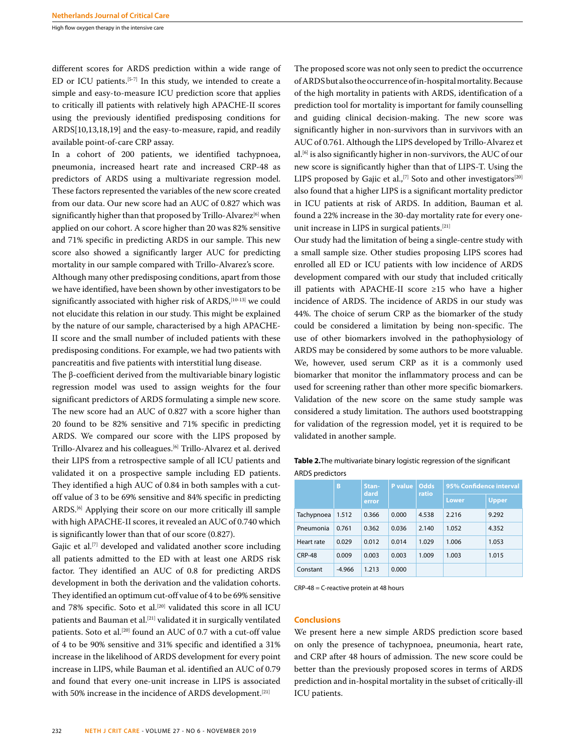High flow oxygen therapy in the intensive care

different scores for ARDS prediction within a wide range of ED or ICU patients.<sup>[5-7]</sup> In this study, we intended to create a simple and easy-to-measure ICU prediction score that applies to critically ill patients with relatively high APACHE-II scores using the previously identified predisposing conditions for ARDS[10,13,18,19] and the easy-to-measure, rapid, and readily available point-of-care CRP assay.

In a cohort of 200 patients, we identified tachypnoea, pneumonia, increased heart rate and increased CRP-48 as predictors of ARDS using a multivariate regression model. These factors represented the variables of the new score created from our data. Our new score had an AUC of 0.827 which was significantly higher than that proposed by Trillo-Alvarez<sup>[6]</sup> when applied on our cohort. A score higher than 20 was 82% sensitive and 71% specific in predicting ARDS in our sample. This new score also showed a significantly larger AUC for predicting mortality in our sample compared with Trillo-Alvarez's score.

Although many other predisposing conditions, apart from those we have identified, have been shown by other investigators to be significantly associated with higher risk of ARDS,<sup>[10-13]</sup> we could not elucidate this relation in our study. This might be explained by the nature of our sample, characterised by a high APACHE-II score and the small number of included patients with these predisposing conditions. For example, we had two patients with pancreatitis and five patients with interstitial lung disease.

The β-coefficient derived from the multivariable binary logistic regression model was used to assign weights for the four significant predictors of ARDS formulating a simple new score. The new score had an AUC of 0.827 with a score higher than 20 found to be 82% sensitive and 71% specific in predicting ARDS. We compared our score with the LIPS proposed by Trillo-Alvarez and his colleagues.[6] Trillo-Alvarez et al. derived their LIPS from a retrospective sample of all ICU patients and validated it on a prospective sample including ED patients. They identified a high AUC of 0.84 in both samples with a cutoff value of 3 to be 69% sensitive and 84% specific in predicting ARDS.[6] Applying their score on our more critically ill sample with high APACHE-II scores, it revealed an AUC of 0.740 which is significantly lower than that of our score (0.827).

Gajic et al.<sup>[7]</sup> developed and validated another score including all patients admitted to the ED with at least one ARDS risk factor. They identified an AUC of 0.8 for predicting ARDS development in both the derivation and the validation cohorts. They identified an optimum cut-off value of 4 to be 69% sensitive and 78% specific. Soto et al.<sup>[20]</sup> validated this score in all ICU patients and Bauman et al.<sup>[21]</sup> validated it in surgically ventilated patients. Soto et al.<sup>[20]</sup> found an AUC of 0.7 with a cut-off value of 4 to be 90% sensitive and 31% specific and identified a 31% increase in the likelihood of ARDS development for every point increase in LIPS, while Bauman et al. identified an AUC of 0.79 and found that every one-unit increase in LIPS is associated with 50% increase in the incidence of ARDS development.<sup>[21]</sup>

The proposed score was not only seen to predict the occurrence of ARDS but also the occurrence of in-hospital mortality. Because of the high mortality in patients with ARDS, identification of a prediction tool for mortality is important for family counselling and guiding clinical decision-making. The new score was significantly higher in non-survivors than in survivors with an AUC of 0.761. Although the LIPS developed by Trillo-Alvarez et al.[6] is also significantly higher in non-survivors, the AUC of our new score is significantly higher than that of LIPS-T. Using the LIPS proposed by Gajic et al.,<sup>[7]</sup> Soto and other investigators<sup>[20]</sup> also found that a higher LIPS is a significant mortality predictor in ICU patients at risk of ARDS. In addition, Bauman et al. found a 22% increase in the 30-day mortality rate for every oneunit increase in LIPS in surgical patients.[21]

Our study had the limitation of being a single-centre study with a small sample size. Other studies proposing LIPS scores had enrolled all ED or ICU patients with low incidence of ARDS development compared with our study that included critically ill patients with APACHE-II score ≥15 who have a higher incidence of ARDS. The incidence of ARDS in our study was 44%. The choice of serum CRP as the biomarker of the study could be considered a limitation by being non-specific. The use of other biomarkers involved in the pathophysiology of ARDS may be considered by some authors to be more valuable. We, however, used serum CRP as it is a commonly used biomarker that monitor the inflammatory process and can be used for screening rather than other more specific biomarkers. Validation of the new score on the same study sample was considered a study limitation. The authors used bootstrapping for validation of the regression model, yet it is required to be validated in another sample.

**Table 2.**The multivariate binary logistic regression of the significant ARDS predictors

|               | B        | Stan-<br>dard<br>error | <b>P</b> value | Odds<br>ratio | 95% Confidence interval |              |
|---------------|----------|------------------------|----------------|---------------|-------------------------|--------------|
|               |          |                        |                |               | Lower                   | <b>Upper</b> |
| Tachypnoea    | 1.512    | 0.366                  | 0.000          | 4.538         | 2.216                   | 9.292        |
| Pneumonia     | 0.761    | 0.362                  | 0.036          | 2.140         | 1.052                   | 4.352        |
| Heart rate    | 0.029    | 0.012                  | 0.014          | 1.029         | 1.006                   | 1.053        |
| <b>CRP-48</b> | 0.009    | 0.003                  | 0.003          | 1.009         | 1.003                   | 1.015        |
| Constant      | $-4.966$ | 1.213                  | 0.000          |               |                         |              |

CRP-48 = C-reactive protein at 48 hours

## **Conclusions**

We present here a new simple ARDS prediction score based on only the presence of tachypnoea, pneumonia, heart rate, and CRP after 48 hours of admission. The new score could be better than the previously proposed scores in terms of ARDS prediction and in-hospital mortality in the subset of critically-ill ICU patients.